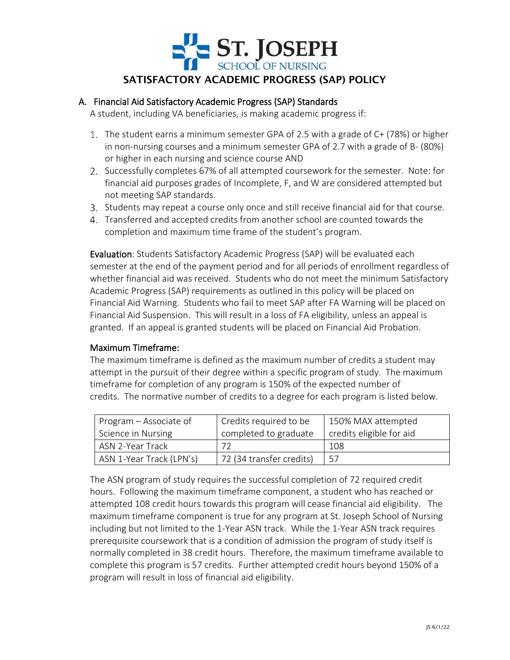

# A. Financial Aid Satisfactory Academic Progress (SAP) Standards

A student, including VA beneficiaries, is making academic progress if:

- The student earns a minimum semester GPA of 2.5 with a grade of C+ (78%) or higher in non-nursing courses and a minimum semester GPA of 2.7 with a grade of B- (80%) or higher in each nursing and science course AND
- 2. Successfully completes 67% of all attempted coursework for the semester. Note: for financial aid purposes grades of Incomplete, F, and W are considered attempted but not meeting SAP standards.
- Students may repeat a course only once and still receive financial aid for that course.
- Transferred and accepted credits from another school are counted towards the completion and maximum time frame of the student's program.

Evaluation: Students Satisfactory Academic Progress (SAP) will be evaluated each semester at the end of the payment period and for all periods of enrollment regardless of whether financial aid was received. Students who do not meet the minimum Satisfactory Academic Progress (SAP) requirements as outlined in this policy will be placed on Financial Aid Warning. Students who fail to meet SAP after FA Warning will be placed on Financial Aid Suspension. This will result in a loss of FA eligibility, unless an appeal is granted. If an appeal is granted students will be placed on Financial Aid Probation.

#### Maximum Timeframe:

The maximum timeframe is defined as the maximum number of credits a student may attempt in the pursuit of their degree within a specific program of study. The maximum timeframe for completion of any program is 150% of the expected number of credits. The normative number of credits to a degree for each program is listed below.

| Program – Associate of   | Credits required to be   | 150% MAX attempted       |
|--------------------------|--------------------------|--------------------------|
| Science in Nursing       | completed to graduate    | credits eligible for aid |
| ASN 2-Year Track         |                          | 108.                     |
| ASN 1-Year Track (LPN's) | 72 (34 transfer credits) | .57                      |

The ASN program of study requires the successful completion of 72 required credit hours. Following the maximum timeframe component, a student who has reached or attempted 108 credit hours towards this program will cease financial aid eligibility. The maximum timeframe component is true for any program at St. Joseph School of Nursing including but not limited to the 1-Year ASN track. While the 1-Year ASN track requires prerequisite coursework that is a condition of admission the program of study itself is normally completed in 38 credit hours. Therefore, the maximum timeframe available to complete this program is 57 credits. Further attempted credit hours beyond 150% of a program will result in loss of financial aid eligibility.